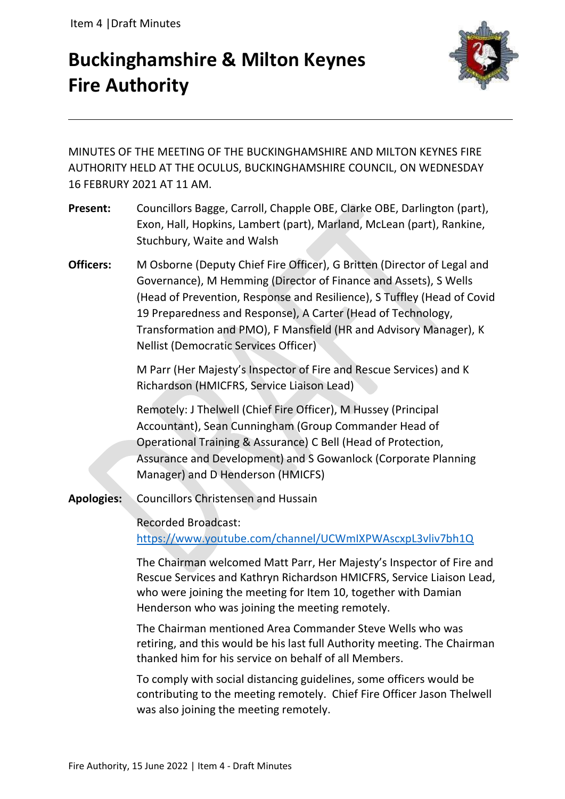# **Buckinghamshire & Milton Keynes Fire Authority**



MINUTES OF THE MEETING OF THE BUCKINGHAMSHIRE AND MILTON KEYNES FIRE AUTHORITY HELD AT THE OCULUS, BUCKINGHAMSHIRE COUNCIL, ON WEDNESDAY 16 FEBRURY 2021 AT 11 AM.

- **Present:** Councillors Bagge, Carroll, Chapple OBE, Clarke OBE, Darlington (part), Exon, Hall, Hopkins, Lambert (part), Marland, McLean (part), Rankine, Stuchbury, Waite and Walsh
- **Officers:** M Osborne (Deputy Chief Fire Officer), G Britten (Director of Legal and Governance), M Hemming (Director of Finance and Assets), S Wells (Head of Prevention, Response and Resilience), S Tuffley (Head of Covid 19 Preparedness and Response), A Carter (Head of Technology, Transformation and PMO), F Mansfield (HR and Advisory Manager), K Nellist (Democratic Services Officer)

M Parr (Her Majesty's Inspector of Fire and Rescue Services) and K Richardson (HMICFRS, Service Liaison Lead)

Remotely: J Thelwell (Chief Fire Officer), M Hussey (Principal Accountant), Sean Cunningham (Group Commander Head of Operational Training & Assurance) C Bell (Head of Protection, Assurance and Development) and S Gowanlock (Corporate Planning Manager) and D Henderson (HMICFS)

**Apologies:** Councillors Christensen and Hussain

Recorded Broadcast: <https://www.youtube.com/channel/UCWmIXPWAscxpL3vliv7bh1Q>

The Chairman welcomed Matt Parr, Her Majesty's Inspector of Fire and Rescue Services and Kathryn Richardson HMICFRS, Service Liaison Lead, who were joining the meeting for Item 10, together with Damian Henderson who was joining the meeting remotely.

The Chairman mentioned Area Commander Steve Wells who was retiring, and this would be his last full Authority meeting. The Chairman thanked him for his service on behalf of all Members.

To comply with social distancing guidelines, some officers would be contributing to the meeting remotely. Chief Fire Officer Jason Thelwell was also joining the meeting remotely.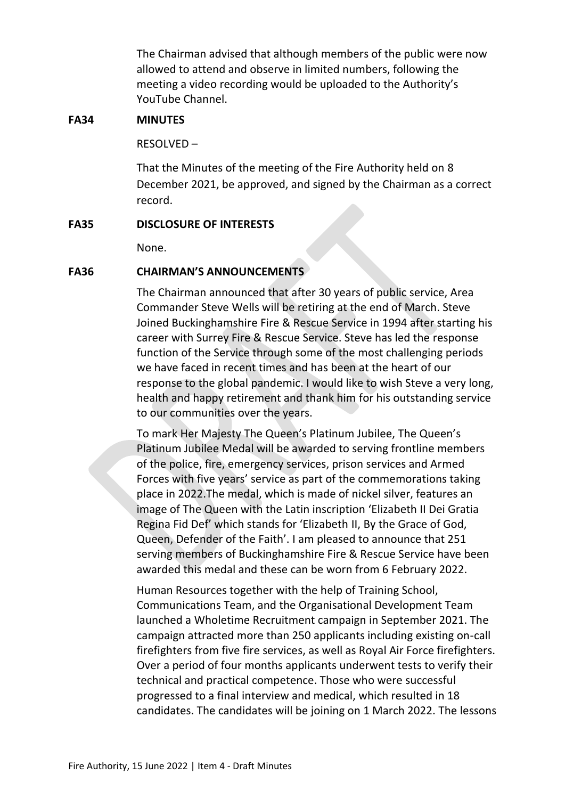The Chairman advised that although members of the public were now allowed to attend and observe in limited numbers, following the meeting a video recording would be uploaded to the Authority's YouTube Channel.

# **FA34 MINUTES**

RESOLVED –

That the Minutes of the meeting of the Fire Authority held on 8 December 2021, be approved, and signed by the Chairman as a correct record.

# **FA35 DISCLOSURE OF INTERESTS**

None.

# **FA36 CHAIRMAN'S ANNOUNCEMENTS**

The Chairman announced that after 30 years of public service, Area Commander Steve Wells will be retiring at the end of March. Steve Joined Buckinghamshire Fire & Rescue Service in 1994 after starting his career with Surrey Fire & Rescue Service. Steve has led the response function of the Service through some of the most challenging periods we have faced in recent times and has been at the heart of our response to the global pandemic. I would like to wish Steve a very long, health and happy retirement and thank him for his outstanding service to our communities over the years.

To mark Her Majesty The Queen's Platinum Jubilee, The Queen's Platinum Jubilee Medal will be awarded to serving frontline members of the police, fire, emergency services, prison services and Armed Forces with five years' service as part of the commemorations taking place in 2022.The medal, which is made of nickel silver, features an image of The Queen with the Latin inscription 'Elizabeth II Dei Gratia Regina Fid Def' which stands for 'Elizabeth II, By the Grace of God, Queen, Defender of the Faith'. I am pleased to announce that 251 serving members of Buckinghamshire Fire & Rescue Service have been awarded this medal and these can be worn from 6 February 2022.

Human Resources together with the help of Training School, Communications Team, and the Organisational Development Team launched a Wholetime Recruitment campaign in September 2021. The campaign attracted more than 250 applicants including existing on-call firefighters from five fire services, as well as Royal Air Force firefighters. Over a period of four months applicants underwent tests to verify their technical and practical competence. Those who were successful progressed to a final interview and medical, which resulted in 18 candidates. The candidates will be joining on 1 March 2022. The lessons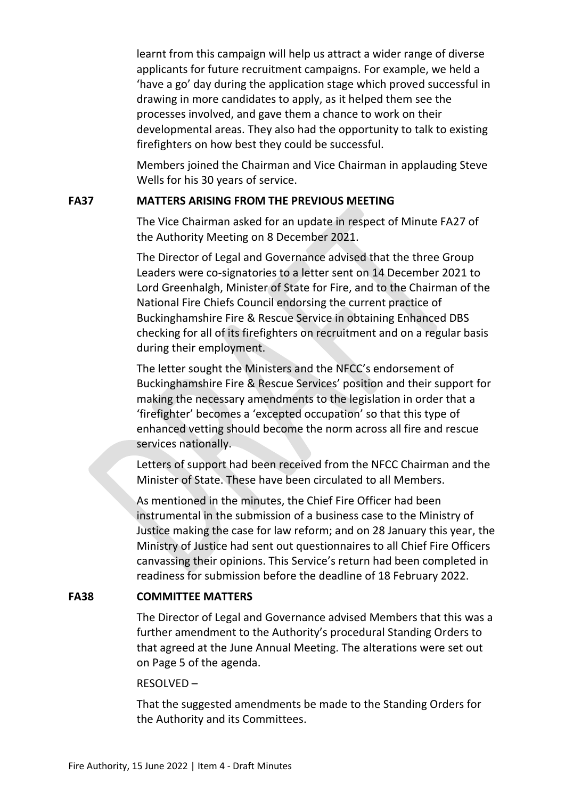learnt from this campaign will help us attract a wider range of diverse applicants for future recruitment campaigns. For example, we held a 'have a go' day during the application stage which proved successful in drawing in more candidates to apply, as it helped them see the processes involved, and gave them a chance to work on their developmental areas. They also had the opportunity to talk to existing firefighters on how best they could be successful.

Members joined the Chairman and Vice Chairman in applauding Steve Wells for his 30 years of service.

# **FA37 MATTERS ARISING FROM THE PREVIOUS MEETING**

The Vice Chairman asked for an update in respect of Minute FA27 of the Authority Meeting on 8 December 2021.

The Director of Legal and Governance advised that the three Group Leaders were co-signatories to a letter sent on 14 December 2021 to Lord Greenhalgh, Minister of State for Fire, and to the Chairman of the National Fire Chiefs Council endorsing the current practice of Buckinghamshire Fire & Rescue Service in obtaining Enhanced DBS checking for all of its firefighters on recruitment and on a regular basis during their employment.

The letter sought the Ministers and the NFCC's endorsement of Buckinghamshire Fire & Rescue Services' position and their support for making the necessary amendments to the legislation in order that a 'firefighter' becomes a 'excepted occupation' so that this type of enhanced vetting should become the norm across all fire and rescue services nationally.

Letters of support had been received from the NFCC Chairman and the Minister of State. These have been circulated to all Members.

As mentioned in the minutes, the Chief Fire Officer had been instrumental in the submission of a business case to the Ministry of Justice making the case for law reform; and on 28 January this year, the Ministry of Justice had sent out questionnaires to all Chief Fire Officers canvassing their opinions. This Service's return had been completed in readiness for submission before the deadline of 18 February 2022.

# **FA38 COMMITTEE MATTERS**

The Director of Legal and Governance advised Members that this was a further amendment to the Authority's procedural Standing Orders to that agreed at the June Annual Meeting. The alterations were set out on Page 5 of the agenda.

# RESOLVED –

That the suggested amendments be made to the Standing Orders for the Authority and its Committees.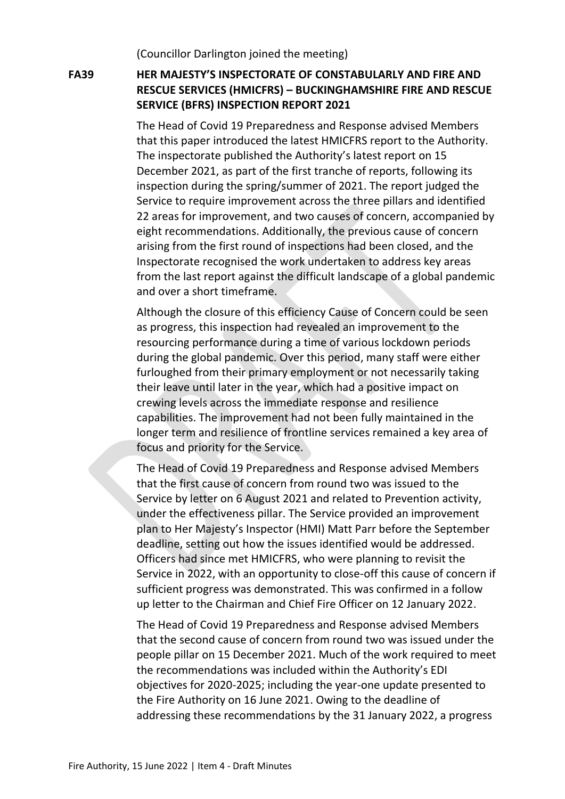(Councillor Darlington joined the meeting)

# **FA39 HER MAJESTY'S INSPECTORATE OF CONSTABULARLY AND FIRE AND RESCUE SERVICES (HMICFRS) – BUCKINGHAMSHIRE FIRE AND RESCUE SERVICE (BFRS) INSPECTION REPORT 2021**

The Head of Covid 19 Preparedness and Response advised Members that this paper introduced the latest HMICFRS report to the Authority. The inspectorate published the Authority's latest report on 15 December 2021, as part of the first tranche of reports, following its inspection during the spring/summer of 2021. The report judged the Service to require improvement across the three pillars and identified 22 areas for improvement, and two causes of concern, accompanied by eight recommendations. Additionally, the previous cause of concern arising from the first round of inspections had been closed, and the Inspectorate recognised the work undertaken to address key areas from the last report against the difficult landscape of a global pandemic and over a short timeframe.

Although the closure of this efficiency Cause of Concern could be seen as progress, this inspection had revealed an improvement to the resourcing performance during a time of various lockdown periods during the global pandemic. Over this period, many staff were either furloughed from their primary employment or not necessarily taking their leave until later in the year, which had a positive impact on crewing levels across the immediate response and resilience capabilities. The improvement had not been fully maintained in the longer term and resilience of frontline services remained a key area of focus and priority for the Service.

The Head of Covid 19 Preparedness and Response advised Members that the first cause of concern from round two was issued to the Service by letter on 6 August 2021 and related to Prevention activity, under the effectiveness pillar. The Service provided an improvement plan to Her Majesty's Inspector (HMI) Matt Parr before the September deadline, setting out how the issues identified would be addressed. Officers had since met HMICFRS, who were planning to revisit the Service in 2022, with an opportunity to close-off this cause of concern if sufficient progress was demonstrated. This was confirmed in a follow up letter to the Chairman and Chief Fire Officer on 12 January 2022.

The Head of Covid 19 Preparedness and Response advised Members that the second cause of concern from round two was issued under the people pillar on 15 December 2021. Much of the work required to meet the recommendations was included within the Authority's EDI objectives for 2020-2025; including the year-one update presented to the Fire Authority on 16 June 2021. Owing to the deadline of addressing these recommendations by the 31 January 2022, a progress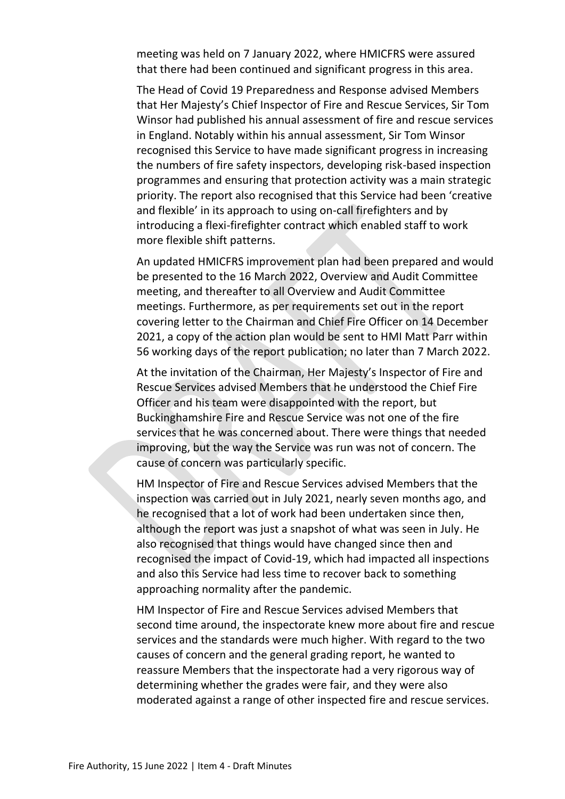meeting was held on 7 January 2022, where HMICFRS were assured that there had been continued and significant progress in this area.

The Head of Covid 19 Preparedness and Response advised Members that Her Majesty's Chief Inspector of Fire and Rescue Services, Sir Tom Winsor had published his annual assessment of fire and rescue services in England. Notably within his annual assessment, Sir Tom Winsor recognised this Service to have made significant progress in increasing the numbers of fire safety inspectors, developing risk-based inspection programmes and ensuring that protection activity was a main strategic priority. The report also recognised that this Service had been 'creative and flexible' in its approach to using on-call firefighters and by introducing a flexi-firefighter contract which enabled staff to work more flexible shift patterns.

An updated HMICFRS improvement plan had been prepared and would be presented to the 16 March 2022, Overview and Audit Committee meeting, and thereafter to all Overview and Audit Committee meetings. Furthermore, as per requirements set out in the report covering letter to the Chairman and Chief Fire Officer on 14 December 2021, a copy of the action plan would be sent to HMI Matt Parr within 56 working days of the report publication; no later than 7 March 2022.

At the invitation of the Chairman, Her Majesty's Inspector of Fire and Rescue Services advised Members that he understood the Chief Fire Officer and his team were disappointed with the report, but Buckinghamshire Fire and Rescue Service was not one of the fire services that he was concerned about. There were things that needed improving, but the way the Service was run was not of concern. The cause of concern was particularly specific.

HM Inspector of Fire and Rescue Services advised Members that the inspection was carried out in July 2021, nearly seven months ago, and he recognised that a lot of work had been undertaken since then, although the report was just a snapshot of what was seen in July. He also recognised that things would have changed since then and recognised the impact of Covid-19, which had impacted all inspections and also this Service had less time to recover back to something approaching normality after the pandemic.

HM Inspector of Fire and Rescue Services advised Members that second time around, the inspectorate knew more about fire and rescue services and the standards were much higher. With regard to the two causes of concern and the general grading report, he wanted to reassure Members that the inspectorate had a very rigorous way of determining whether the grades were fair, and they were also moderated against a range of other inspected fire and rescue services.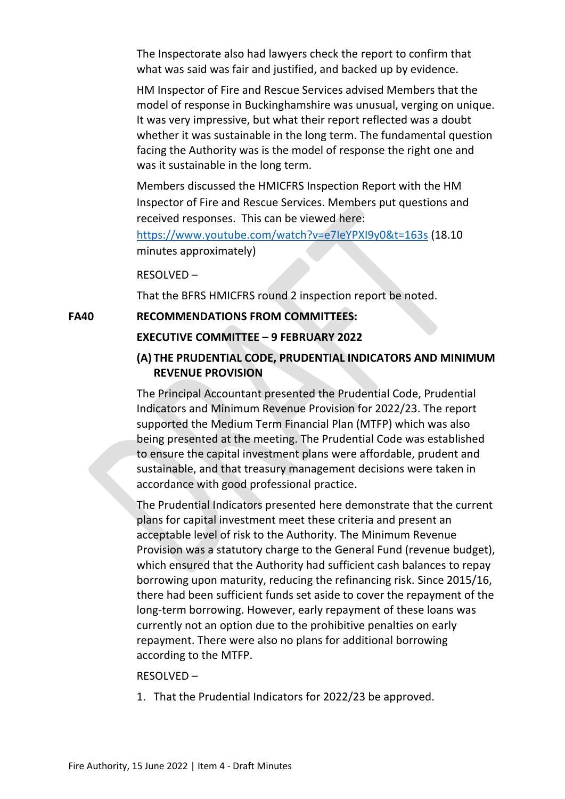The Inspectorate also had lawyers check the report to confirm that what was said was fair and justified, and backed up by evidence.

HM Inspector of Fire and Rescue Services advised Members that the model of response in Buckinghamshire was unusual, verging on unique. It was very impressive, but what their report reflected was a doubt whether it was sustainable in the long term. The fundamental question facing the Authority was is the model of response the right one and was it sustainable in the long term.

Members discussed the HMICFRS Inspection Report with the HM Inspector of Fire and Rescue Services. Members put questions and received responses. This can be viewed here:

<https://www.youtube.com/watch?v=e7IeYPXI9y0&t=163s> (18.10 minutes approximately)

RESOLVED –

That the BFRS HMICFRS round 2 inspection report be noted.

**FA40 RECOMMENDATIONS FROM COMMITTEES:**

# **EXECUTIVE COMMITTEE – 9 FEBRUARY 2022**

# **(A) THE PRUDENTIAL CODE, PRUDENTIAL INDICATORS AND MINIMUM REVENUE PROVISION**

The Principal Accountant presented the Prudential Code, Prudential Indicators and Minimum Revenue Provision for 2022/23. The report supported the Medium Term Financial Plan (MTFP) which was also being presented at the meeting. The Prudential Code was established to ensure the capital investment plans were affordable, prudent and sustainable, and that treasury management decisions were taken in accordance with good professional practice.

The Prudential Indicators presented here demonstrate that the current plans for capital investment meet these criteria and present an acceptable level of risk to the Authority. The Minimum Revenue Provision was a statutory charge to the General Fund (revenue budget), which ensured that the Authority had sufficient cash balances to repay borrowing upon maturity, reducing the refinancing risk. Since 2015/16, there had been sufficient funds set aside to cover the repayment of the long-term borrowing. However, early repayment of these loans was currently not an option due to the prohibitive penalties on early repayment. There were also no plans for additional borrowing according to the MTFP.

#### RESOLVED –

1. That the Prudential Indicators for 2022/23 be approved.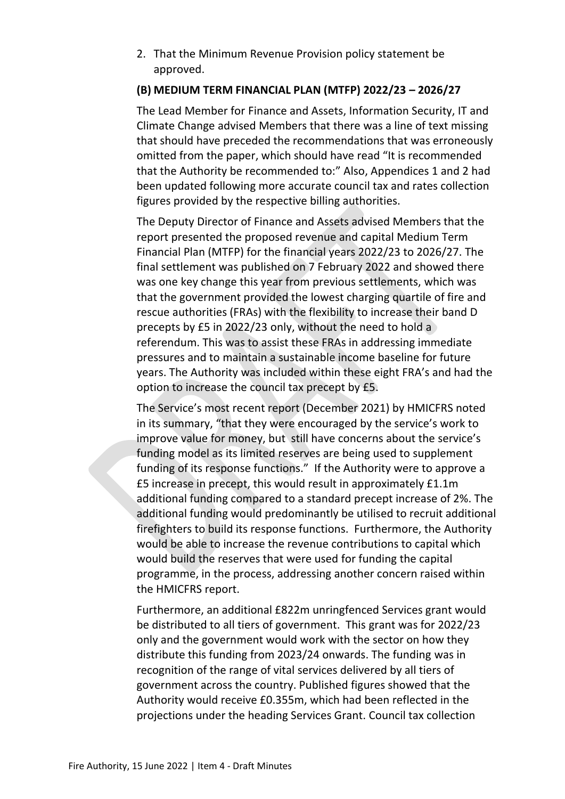2. That the Minimum Revenue Provision policy statement be approved.

# **(B) MEDIUM TERM FINANCIAL PLAN (MTFP) 2022/23 – 2026/27**

The Lead Member for Finance and Assets, Information Security, IT and Climate Change advised Members that there was a line of text missing that should have preceded the recommendations that was erroneously omitted from the paper, which should have read "It is recommended that the Authority be recommended to:" Also, Appendices 1 and 2 had been updated following more accurate council tax and rates collection figures provided by the respective billing authorities.

The Deputy Director of Finance and Assets advised Members that the report presented the proposed revenue and capital Medium Term Financial Plan (MTFP) for the financial years 2022/23 to 2026/27. The final settlement was published on 7 February 2022 and showed there was one key change this year from previous settlements, which was that the government provided the lowest charging quartile of fire and rescue authorities (FRAs) with the flexibility to increase their band D precepts by £5 in 2022/23 only, without the need to hold a referendum. This was to assist these FRAs in addressing immediate pressures and to maintain a sustainable income baseline for future years. The Authority was included within these eight FRA's and had the option to increase the council tax precept by £5.

The Service's most recent report (December 2021) by HMICFRS noted in its summary, "that they were encouraged by the service's work to improve value for money, but still have concerns about the service's funding model as its limited [reserves](https://www.justiceinspectorates.gov.uk/hmicfrs/glossary/reserves/) are being used to supplement funding of its response functions." If the Authority were to approve a £5 increase in precept, this would result in approximately £1.1m additional funding compared to a standard precept increase of 2%. The additional funding would predominantly be utilised to recruit additional firefighters to build its response functions. Furthermore, the Authority would be able to increase the revenue contributions to capital which would build the reserves that were used for funding the capital programme, in the process, addressing another concern raised within the HMICFRS report.

Furthermore, an additional £822m unringfenced Services grant would be distributed to all tiers of government. This grant was for 2022/23 only and the government would work with the sector on how they distribute this funding from 2023/24 onwards. The funding was in recognition of the range of vital services delivered by all tiers of government across the country. Published figures showed that the Authority would receive £0.355m, which had been reflected in the projections under the heading Services Grant. Council tax collection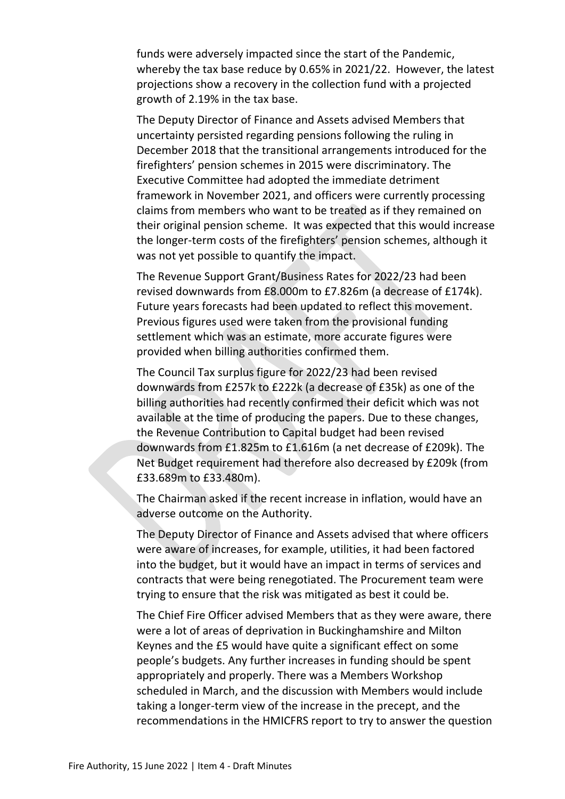funds were adversely impacted since the start of the Pandemic, whereby the tax base reduce by 0.65% in 2021/22. However, the latest projections show a recovery in the collection fund with a projected growth of 2.19% in the tax base.

The Deputy Director of Finance and Assets advised Members that uncertainty persisted regarding pensions following the ruling in December 2018 that the transitional arrangements introduced for the firefighters' pension schemes in 2015 were discriminatory. The Executive Committee had adopted the immediate detriment framework in November 2021, and officers were currently processing claims from members who want to be treated as if they remained on their original pension scheme. It was expected that this would increase the longer-term costs of the firefighters' pension schemes, although it was not yet possible to quantify the impact.

The Revenue Support Grant/Business Rates for 2022/23 had been revised downwards from £8.000m to £7.826m (a decrease of £174k). Future years forecasts had been updated to reflect this movement. Previous figures used were taken from the provisional funding settlement which was an estimate, more accurate figures were provided when billing authorities confirmed them.

The Council Tax surplus figure for 2022/23 had been revised downwards from £257k to £222k (a decrease of £35k) as one of the billing authorities had recently confirmed their deficit which was not available at the time of producing the papers. Due to these changes, the Revenue Contribution to Capital budget had been revised downwards from £1.825m to £1.616m (a net decrease of £209k). The Net Budget requirement had therefore also decreased by £209k (from £33.689m to £33.480m).

The Chairman asked if the recent increase in inflation, would have an adverse outcome on the Authority.

The Deputy Director of Finance and Assets advised that where officers were aware of increases, for example, utilities, it had been factored into the budget, but it would have an impact in terms of services and contracts that were being renegotiated. The Procurement team were trying to ensure that the risk was mitigated as best it could be.

The Chief Fire Officer advised Members that as they were aware, there were a lot of areas of deprivation in Buckinghamshire and Milton Keynes and the £5 would have quite a significant effect on some people's budgets. Any further increases in funding should be spent appropriately and properly. There was a Members Workshop scheduled in March, and the discussion with Members would include taking a longer-term view of the increase in the precept, and the recommendations in the HMICFRS report to try to answer the question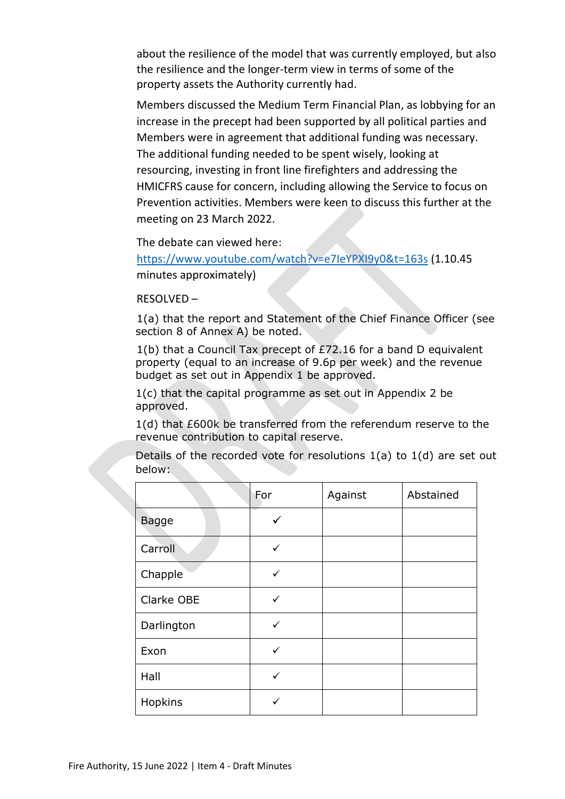about the resilience of the model that was currently employed, but also the resilience and the longer-term view in terms of some of the property assets the Authority currently had.

Members discussed the Medium Term Financial Plan, as lobbying for an increase in the precept had been supported by all political parties and Members were in agreement that additional funding was necessary. The additional funding needed to be spent wisely, looking at resourcing, investing in front line firefighters and addressing the HMICFRS cause for concern, including allowing the Service to focus on Prevention activities. Members were keen to discuss this further at the meeting on 23 March 2022.

The debate can viewed here:

<https://www.youtube.com/watch?v=e7IeYPXI9y0&t=163s> (1.10.45 minutes approximately)

RESOLVED –

1(a) that the report and Statement of the Chief Finance Officer (see section 8 of Annex A) be noted.

1(b) that a Council Tax precept of £72.16 for a band D equivalent property (equal to an increase of 9.6p per week) and the revenue budget as set out in Appendix 1 be approved.

1(c) that the capital programme as set out in Appendix 2 be approved.

1(d) that £600k be transferred from the referendum reserve to the revenue contribution to capital reserve.

Details of the recorded vote for resolutions 1(a) to 1(d) are set out below:

|              | For          | Against | Abstained |
|--------------|--------------|---------|-----------|
| <b>Bagge</b> |              |         |           |
| Carroll      | ✓            |         |           |
| Chapple      | ✓            |         |           |
| Clarke OBE   | ✓            |         |           |
| Darlington   | ✓            |         |           |
| Exon         | ✓            |         |           |
| Hall         | $\checkmark$ |         |           |
| Hopkins      | ✓            |         |           |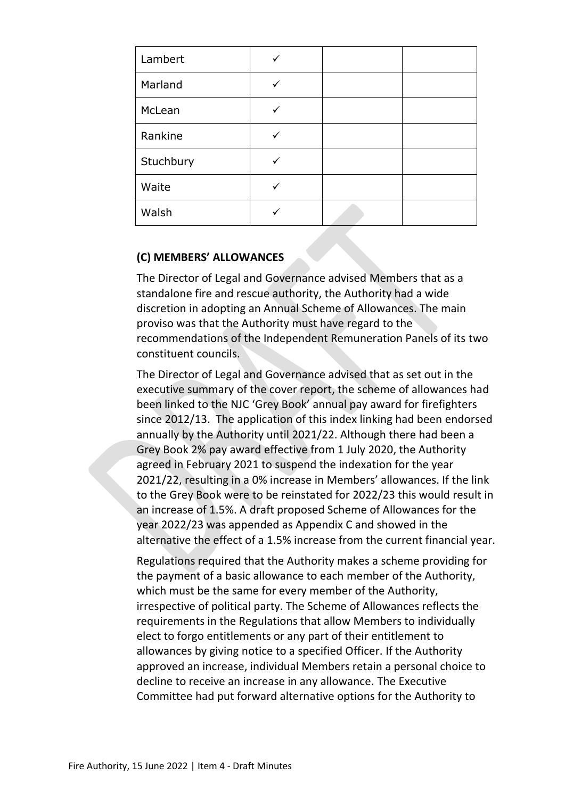| Lambert   |  |  |
|-----------|--|--|
| Marland   |  |  |
| McLean    |  |  |
| Rankine   |  |  |
| Stuchbury |  |  |
| Waite     |  |  |
| Walsh     |  |  |

# **(C) MEMBERS' ALLOWANCES**

The Director of Legal and Governance advised Members that as a standalone fire and rescue authority, the Authority had a wide discretion in adopting an Annual Scheme of Allowances. The main proviso was that the Authority must have regard to the recommendations of the Independent Remuneration Panels of its two constituent councils.

The Director of Legal and Governance advised that as set out in the executive summary of the cover report, the scheme of allowances had been linked to the NJC 'Grey Book' annual pay award for firefighters since 2012/13. The application of this index linking had been endorsed annually by the Authority until 2021/22. Although there had been a Grey Book 2% pay award effective from 1 July 2020, the Authority agreed in February 2021 to suspend the indexation for the year 2021/22, resulting in a 0% increase in Members' allowances. If the link to the Grey Book were to be reinstated for 2022/23 this would result in an increase of 1.5%. A draft proposed Scheme of Allowances for the year 2022/23 was appended as Appendix C and showed in the alternative the effect of a 1.5% increase from the current financial year.

Regulations required that the Authority makes a scheme providing for the payment of a basic allowance to each member of the Authority, which must be the same for every member of the Authority, irrespective of political party. The Scheme of Allowances reflects the requirements in the Regulations that allow Members to individually elect to forgo entitlements or any part of their entitlement to allowances by giving notice to a specified Officer. If the Authority approved an increase, individual Members retain a personal choice to decline to receive an increase in any allowance. The Executive Committee had put forward alternative options for the Authority to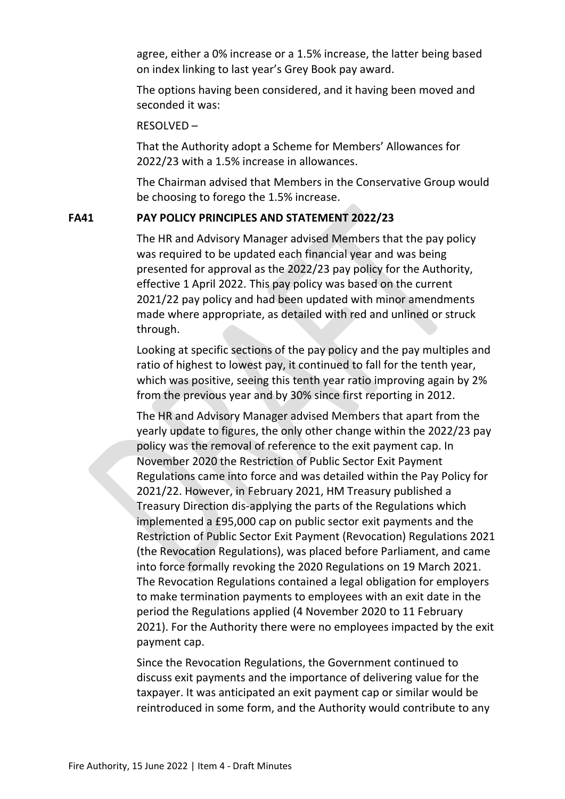agree, either a 0% increase or a 1.5% increase, the latter being based on index linking to last year's Grey Book pay award.

The options having been considered, and it having been moved and seconded it was:

# RESOLVED –

That the Authority adopt a Scheme for Members' Allowances for 2022/23 with a 1.5% increase in allowances.

The Chairman advised that Members in the Conservative Group would be choosing to forego the 1.5% increase.

# **FA41 PAY POLICY PRINCIPLES AND STATEMENT 2022/23**

The HR and Advisory Manager advised Members that the pay policy was required to be updated each financial year and was being presented for approval as the 2022/23 pay policy for the Authority, effective 1 April 2022. This pay policy was based on the current 2021/22 pay policy and had been updated with minor amendments made where appropriate, as detailed with red and unlined or struck through.

Looking at specific sections of the pay policy and the pay multiples and ratio of highest to lowest pay, it continued to fall for the tenth year, which was positive, seeing this tenth year ratio improving again by 2% from the previous year and by 30% since first reporting in 2012.

The HR and Advisory Manager advised Members that apart from the yearly update to figures, the only other change within the 2022/23 pay policy was the removal of reference to the exit payment cap. In November 2020 the Restriction of Public Sector Exit Payment Regulations came into force and was detailed within the Pay Policy for 2021/22. However, in February 2021, HM Treasury published a Treasury Direction dis-applying the parts of the Regulations which implemented a £95,000 cap on public sector exit payments and the Restriction of Public Sector Exit Payment (Revocation) Regulations 2021 (the Revocation Regulations), was placed before Parliament, and came into force formally revoking the 2020 Regulations on 19 March 2021. The Revocation Regulations contained a legal obligation for employers to make termination payments to employees with an exit date in the period the Regulations applied (4 November 2020 to 11 February 2021). For the Authority there were no employees impacted by the exit payment cap.

Since the Revocation Regulations, the Government continued to discuss exit payments and the importance of delivering value for the taxpayer. It was anticipated an exit payment cap or similar would be reintroduced in some form, and the Authority would contribute to any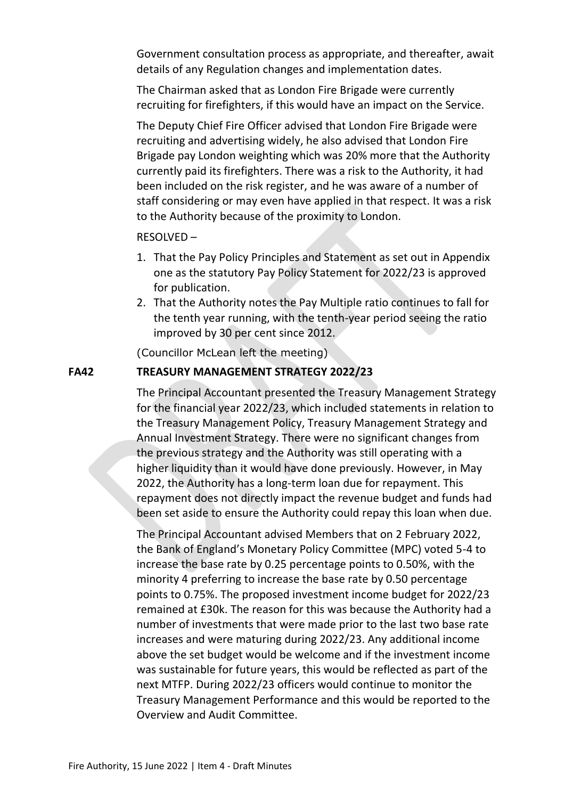Government consultation process as appropriate, and thereafter, await details of any Regulation changes and implementation dates.

The Chairman asked that as London Fire Brigade were currently recruiting for firefighters, if this would have an impact on the Service.

The Deputy Chief Fire Officer advised that London Fire Brigade were recruiting and advertising widely, he also advised that London Fire Brigade pay London weighting which was 20% more that the Authority currently paid its firefighters. There was a risk to the Authority, it had been included on the risk register, and he was aware of a number of staff considering or may even have applied in that respect. It was a risk to the Authority because of the proximity to London.

# RESOLVED –

- 1. That the Pay Policy Principles and Statement as set out in Appendix one as the statutory Pay Policy Statement for 2022/23 is approved for publication.
- 2. That the Authority notes the Pay Multiple ratio continues to fall for the tenth year running, with the tenth-year period seeing the ratio improved by 30 per cent since 2012.

(Councillor McLean left the meeting)

# **FA42 TREASURY MANAGEMENT STRATEGY 2022/23**

The Principal Accountant presented the Treasury Management Strategy for the financial year 2022/23, which included statements in relation to the Treasury Management Policy, Treasury Management Strategy and Annual Investment Strategy. There were no significant changes from the previous strategy and the Authority was still operating with a higher liquidity than it would have done previously. However, in May 2022, the Authority has a long-term loan due for repayment. This repayment does not directly impact the revenue budget and funds had been set aside to ensure the Authority could repay this loan when due.

The Principal Accountant advised Members that on 2 February 2022, the Bank of England's Monetary Policy Committee (MPC) voted 5-4 to increase the base rate by 0.25 percentage points to 0.50%, with the minority 4 preferring to increase the base rate by 0.50 percentage points to 0.75%. The proposed investment income budget for 2022/23 remained at £30k. The reason for this was because the Authority had a number of investments that were made prior to the last two base rate increases and were maturing during 2022/23. Any additional income above the set budget would be welcome and if the investment income was sustainable for future years, this would be reflected as part of the next MTFP. During 2022/23 officers would continue to monitor the Treasury Management Performance and this would be reported to the Overview and Audit Committee.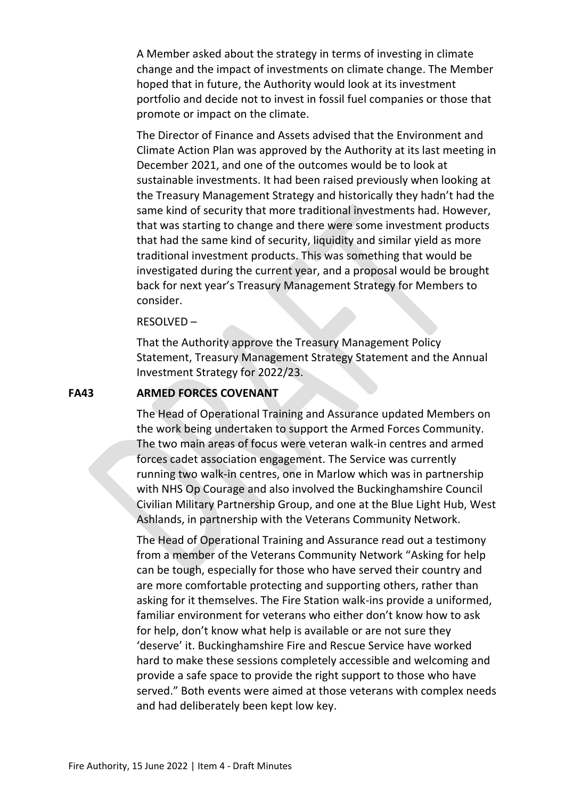A Member asked about the strategy in terms of investing in climate change and the impact of investments on climate change. The Member hoped that in future, the Authority would look at its investment portfolio and decide not to invest in fossil fuel companies or those that promote or impact on the climate.

The Director of Finance and Assets advised that the Environment and Climate Action Plan was approved by the Authority at its last meeting in December 2021, and one of the outcomes would be to look at sustainable investments. It had been raised previously when looking at the Treasury Management Strategy and historically they hadn't had the same kind of security that more traditional investments had. However, that was starting to change and there were some investment products that had the same kind of security, liquidity and similar yield as more traditional investment products. This was something that would be investigated during the current year, and a proposal would be brought back for next year's Treasury Management Strategy for Members to consider.

#### RESOLVED –

That the Authority approve the Treasury Management Policy Statement, Treasury Management Strategy Statement and the Annual Investment Strategy for 2022/23.

#### **FA43 ARMED FORCES COVENANT**

The Head of Operational Training and Assurance updated Members on the work being undertaken to support the Armed Forces Community. The two main areas of focus were veteran walk-in centres and armed forces cadet association engagement. The Service was currently running two walk-in centres, one in Marlow which was in partnership with NHS Op Courage and also involved the Buckinghamshire Council Civilian Military Partnership Group, and one at the Blue Light Hub, West Ashlands, in partnership with the Veterans Community Network.

The Head of Operational Training and Assurance read out a testimony from a member of the Veterans Community Network "Asking for help can be tough, especially for those who have served their country and are more comfortable protecting and supporting others, rather than asking for it themselves. The Fire Station walk-ins provide a uniformed, familiar environment for veterans who either don't know how to ask for help, don't know what help is available or are not sure they 'deserve' it. Buckinghamshire Fire and Rescue Service have worked hard to make these sessions completely accessible and welcoming and provide a safe space to provide the right support to those who have served." Both events were aimed at those veterans with complex needs and had deliberately been kept low key.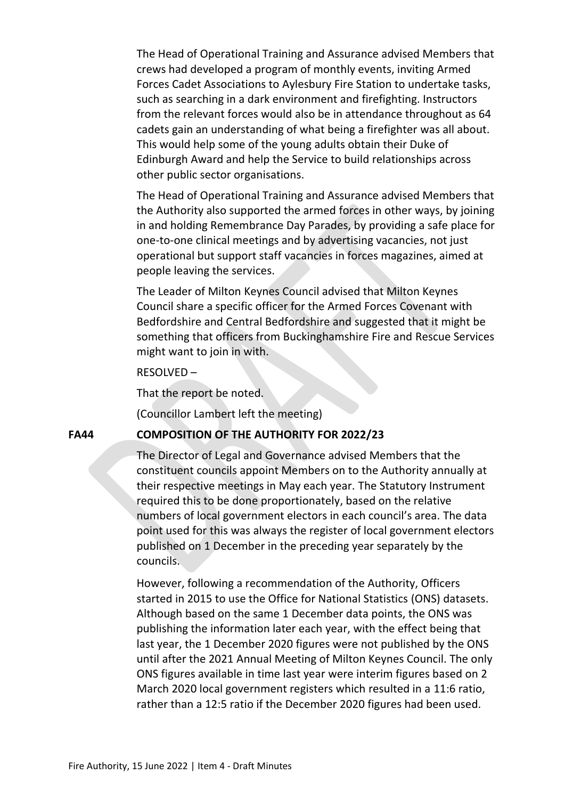The Head of Operational Training and Assurance advised Members that crews had developed a program of monthly events, inviting Armed Forces Cadet Associations to Aylesbury Fire Station to undertake tasks, such as searching in a dark environment and firefighting. Instructors from the relevant forces would also be in attendance throughout as 64 cadets gain an understanding of what being a firefighter was all about. This would help some of the young adults obtain their Duke of Edinburgh Award and help the Service to build relationships across other public sector organisations.

The Head of Operational Training and Assurance advised Members that the Authority also supported the armed forces in other ways, by joining in and holding Remembrance Day Parades, by providing a safe place for one-to-one clinical meetings and by advertising vacancies, not just operational but support staff vacancies in forces magazines, aimed at people leaving the services.

The Leader of Milton Keynes Council advised that Milton Keynes Council share a specific officer for the Armed Forces Covenant with Bedfordshire and Central Bedfordshire and suggested that it might be something that officers from Buckinghamshire Fire and Rescue Services might want to join in with.

RESOLVED –

That the report be noted.

(Councillor Lambert left the meeting)

#### **FA44 COMPOSITION OF THE AUTHORITY FOR 2022/23**

The Director of Legal and Governance advised Members that the constituent councils appoint Members on to the Authority annually at their respective meetings in May each year. The Statutory Instrument required this to be done proportionately, based on the relative numbers of local government electors in each council's area. The data point used for this was always the register of local government electors published on 1 December in the preceding year separately by the councils.

However, following a recommendation of the Authority, Officers started in 2015 to use the Office for National Statistics (ONS) datasets. Although based on the same 1 December data points, the ONS was publishing the information later each year, with the effect being that last year, the 1 December 2020 figures were not published by the ONS until after the 2021 Annual Meeting of Milton Keynes Council. The only ONS figures available in time last year were interim figures based on 2 March 2020 local government registers which resulted in a 11:6 ratio, rather than a 12:5 ratio if the December 2020 figures had been used.